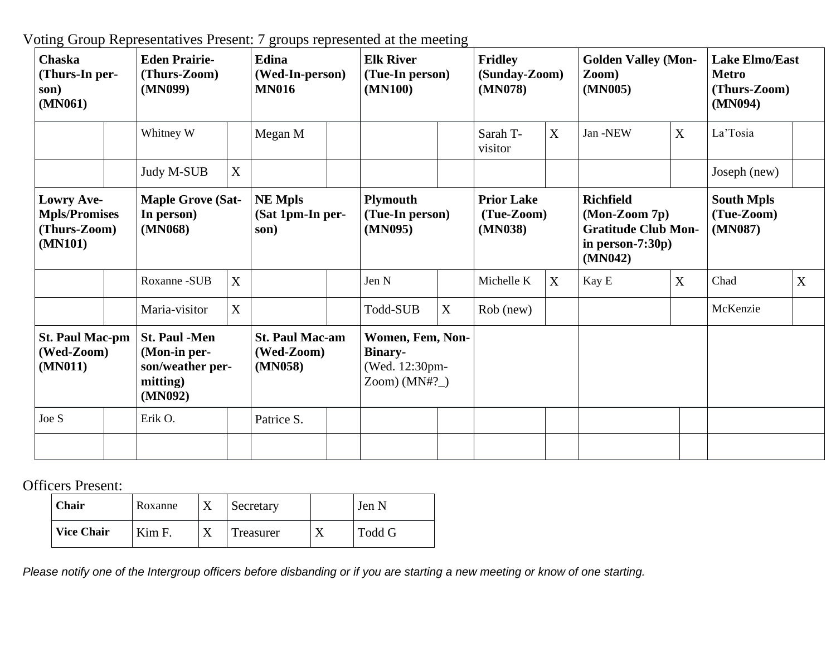Voting Group Representatives Present: 7 groups represented at the meeting

| <b>Chaska</b><br>(Thurs-In per-<br>son)<br>(MN061)                   |  | <b>Eden Prairie-</b><br>(Thurs-Zoom)<br>(MN099)                                 |   | Edina<br>(Wed-In-person)<br><b>MN016</b>        |  | <b>Elk River</b><br>(Tue-In person)<br>(MN100)                         |                  | <b>Fridley</b><br>(Sunday-Zoom)<br>(MN078) |   | <b>Golden Valley (Mon-</b><br>$\mathbf{Zoom}$<br>(MN005)                                             |                  | <b>Lake Elmo/East</b><br><b>Metro</b><br>(Thurs-Zoom)<br>(MN094) |   |
|----------------------------------------------------------------------|--|---------------------------------------------------------------------------------|---|-------------------------------------------------|--|------------------------------------------------------------------------|------------------|--------------------------------------------|---|------------------------------------------------------------------------------------------------------|------------------|------------------------------------------------------------------|---|
|                                                                      |  | Whitney W                                                                       |   | Megan M                                         |  |                                                                        |                  | Sarah T-<br>visitor                        | X | Jan -NEW                                                                                             | X                | La'Tosia                                                         |   |
|                                                                      |  | Judy M-SUB                                                                      | X |                                                 |  |                                                                        |                  |                                            |   |                                                                                                      |                  | Joseph (new)                                                     |   |
| <b>Lowry Ave-</b><br><b>Mpls/Promises</b><br>(Thurs-Zoom)<br>(MN101) |  | <b>Maple Grove (Sat-</b><br>In person)<br>(MN068)                               |   | <b>NE Mpls</b><br>(Sat 1pm-In per-<br>son)      |  | <b>Plymouth</b><br>(Tue-In person)<br>(MN095)                          |                  | <b>Prior Lake</b><br>(Tue-Zoom)<br>(MN038) |   | <b>Richfield</b><br>$(Mon-Zoom 7p)$<br><b>Gratitude Club Mon-</b><br>in person- $7:30p$ )<br>(MN042) |                  | <b>South Mpls</b><br>(Tue-Zoom)<br>(MN087)                       |   |
|                                                                      |  | Roxanne-SUB                                                                     | X |                                                 |  | Jen N                                                                  |                  | Michelle K                                 | X | Kay E                                                                                                | $\boldsymbol{X}$ | Chad                                                             | X |
|                                                                      |  | Maria-visitor                                                                   | X |                                                 |  | Todd-SUB                                                               | $\boldsymbol{X}$ | Rob (new)                                  |   |                                                                                                      |                  | McKenzie                                                         |   |
| <b>St. Paul Mac-pm</b><br>(Wed-Zoom)<br>(MN011)                      |  | <b>St. Paul -Men</b><br>(Mon-in per-<br>son/weather per-<br>mitting)<br>(MN092) |   | <b>St. Paul Mac-am</b><br>(Wed-Zoom)<br>(MN058) |  | Women, Fem, Non-<br><b>Binary-</b><br>(Wed. 12:30pm-<br>Zoom) $(MN#?_$ |                  |                                            |   |                                                                                                      |                  |                                                                  |   |
| Joe S                                                                |  | Erik O.                                                                         |   | Patrice S.                                      |  |                                                                        |                  |                                            |   |                                                                                                      |                  |                                                                  |   |
|                                                                      |  |                                                                                 |   |                                                 |  |                                                                        |                  |                                            |   |                                                                                                      |                  |                                                                  |   |

Officers Present:

| Chair             | Roxanne |  | Secretary | Jen N  |
|-------------------|---------|--|-----------|--------|
| <b>Vice Chair</b> | Kim F.  |  | Treasurer | Todd G |

Please notify one of the Intergroup officers before disbanding or if you are starting a new meeting or know of one starting.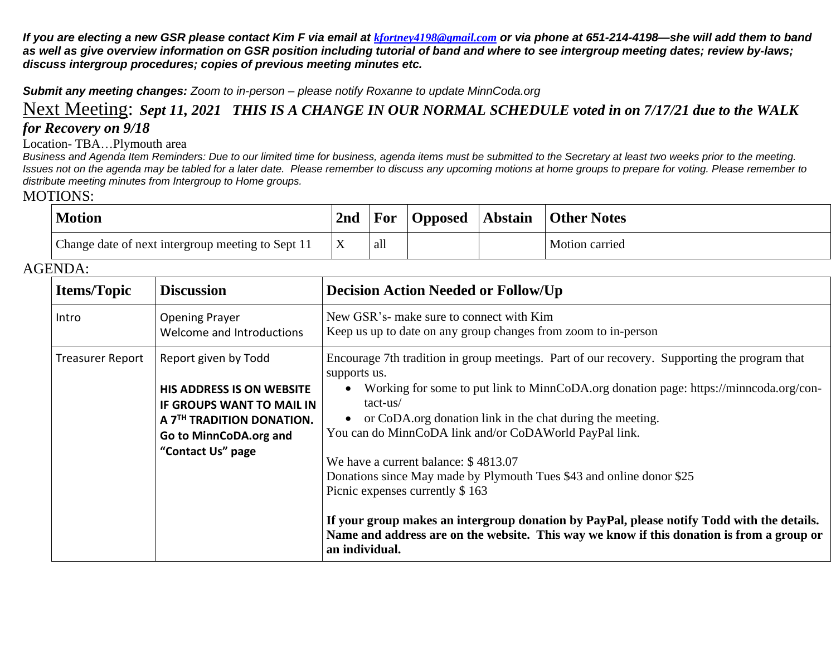If you are electing a new GSR please contact Kim F via email at [kfortney4198@gmail.com](mailto:kfortney4198@gmail.com) or via phone at 651-214-4198—she will add them to band as well as give overview information on GSR position including tutorial of band and where to see intergroup meeting dates; review by-laws; *discuss intergroup procedures; copies of previous meeting minutes etc.*

*Submit any meeting changes: Zoom to in-person – please notify Roxanne to update MinnCoda.org*

## Next Meeting: Sept 11, 2021 THIS IS A CHANGE IN OUR NORMAL SCHEDULE voted in on 7/17/21 due to the WALK *for Recovery on 9/18*

Location- TBA…Plymouth area

Business and Agenda Item Reminders: Due to our limited time for business, agenda items must be submitted to the Secretary at least two weeks prior to the meeting. Issues not on the agenda may be tabled for a later date. Please remember to discuss any upcoming motions at home groups to prepare for voting. Please remember to *distribute meeting minutes from Intergroup to Home groups.*

## MOTIONS:

| <b>Motion</b>                                     | 2nd | For | <b>Opposed</b> | <b>Abstain</b> | <b>Other Notes</b>    |
|---------------------------------------------------|-----|-----|----------------|----------------|-----------------------|
| Change date of next intergroup meeting to Sept 11 |     | all |                |                | <b>Motion carried</b> |

## AGENDA:

| <b>Items/Topic</b>      | <b>Discussion</b>                                                                                                                                                             | <b>Decision Action Needed or Follow/Up</b>                                                                                                                                                                                                                                                                                                                                                                                                                                                                                                                                                                                                                                                                 |
|-------------------------|-------------------------------------------------------------------------------------------------------------------------------------------------------------------------------|------------------------------------------------------------------------------------------------------------------------------------------------------------------------------------------------------------------------------------------------------------------------------------------------------------------------------------------------------------------------------------------------------------------------------------------------------------------------------------------------------------------------------------------------------------------------------------------------------------------------------------------------------------------------------------------------------------|
| Intro                   | <b>Opening Prayer</b><br>Welcome and Introductions                                                                                                                            | New GSR's- make sure to connect with Kim<br>Keep us up to date on any group changes from zoom to in-person                                                                                                                                                                                                                                                                                                                                                                                                                                                                                                                                                                                                 |
| <b>Treasurer Report</b> | Report given by Todd<br><b>HIS ADDRESS IS ON WEBSITE</b><br>IF GROUPS WANT TO MAIL IN<br>A 7 <sup>TH</sup> TRADITION DONATION.<br>Go to MinnCoDA.org and<br>"Contact Us" page | Encourage 7th tradition in group meetings. Part of our recovery. Supporting the program that<br>supports us.<br>Working for some to put link to MinnCoDA.org donation page: https://minncoda.org/con-<br>$tact-us/$<br>or CoDA.org donation link in the chat during the meeting.<br>You can do MinnCoDA link and/or CoDAWorld PayPal link.<br>We have a current balance: \$4813.07<br>Donations since May made by Plymouth Tues \$43 and online donor \$25<br>Picnic expenses currently \$163<br>If your group makes an intergroup donation by PayPal, please notify Todd with the details.<br>Name and address are on the website. This way we know if this donation is from a group or<br>an individual. |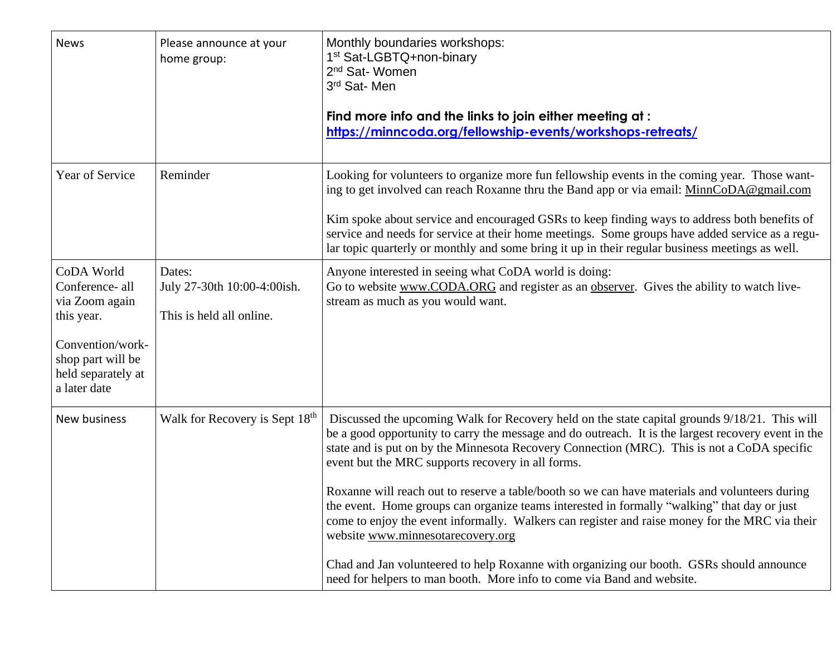| <b>News</b>                                                                                                                                  | Please announce at your<br>home group:                            | Monthly boundaries workshops:<br>1 <sup>st</sup> Sat-LGBTQ+non-binary<br>2 <sup>nd</sup> Sat-Women<br>3rd Sat-Men<br>Find more info and the links to join either meeting at:<br>https://minncoda.org/fellowship-events/workshops-retreats/                                                                                                                                                                                                                                                                                                                                                                                                                                                                                                                                                                                                                             |
|----------------------------------------------------------------------------------------------------------------------------------------------|-------------------------------------------------------------------|------------------------------------------------------------------------------------------------------------------------------------------------------------------------------------------------------------------------------------------------------------------------------------------------------------------------------------------------------------------------------------------------------------------------------------------------------------------------------------------------------------------------------------------------------------------------------------------------------------------------------------------------------------------------------------------------------------------------------------------------------------------------------------------------------------------------------------------------------------------------|
| Year of Service                                                                                                                              | Reminder                                                          | Looking for volunteers to organize more fun fellowship events in the coming year. Those want-<br>ing to get involved can reach Roxanne thru the Band app or via email: MinnCoDA@gmail.com<br>Kim spoke about service and encouraged GSRs to keep finding ways to address both benefits of<br>service and needs for service at their home meetings. Some groups have added service as a regu-<br>lar topic quarterly or monthly and some bring it up in their regular business meetings as well.                                                                                                                                                                                                                                                                                                                                                                        |
| CoDA World<br>Conference- all<br>via Zoom again<br>this year.<br>Convention/work-<br>shop part will be<br>held separately at<br>a later date | Dates:<br>July 27-30th 10:00-4:00ish.<br>This is held all online. | Anyone interested in seeing what CoDA world is doing:<br>Go to website www.CODA.ORG and register as an observer. Gives the ability to watch live-<br>stream as much as you would want.                                                                                                                                                                                                                                                                                                                                                                                                                                                                                                                                                                                                                                                                                 |
| New business                                                                                                                                 | Walk for Recovery is Sept 18 <sup>th</sup>                        | Discussed the upcoming Walk for Recovery held on the state capital grounds 9/18/21. This will<br>be a good opportunity to carry the message and do outreach. It is the largest recovery event in the<br>state and is put on by the Minnesota Recovery Connection (MRC). This is not a CoDA specific<br>event but the MRC supports recovery in all forms.<br>Roxanne will reach out to reserve a table/booth so we can have materials and volunteers during<br>the event. Home groups can organize teams interested in formally "walking" that day or just<br>come to enjoy the event informally. Walkers can register and raise money for the MRC via their<br>website www.minnesotarecovery.org<br>Chad and Jan volunteered to help Roxanne with organizing our booth. GSRs should announce<br>need for helpers to man booth. More info to come via Band and website. |